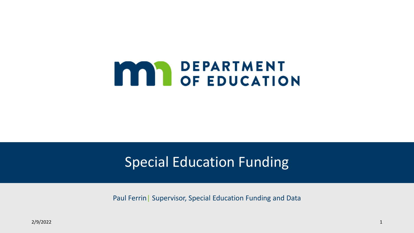# **MAN DEPARTMENT<br>OF EDUCATION**

## Special Education Funding

Paul Ferrin| Supervisor, Special Education Funding and Data

2/9/2022 1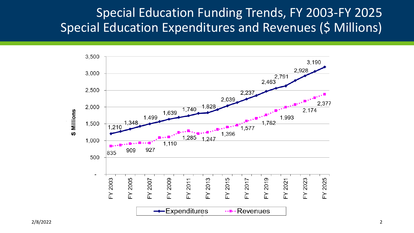### Special Education Funding Trends, FY 2003-FY 2025 Special Education Expenditures and Revenues (\$ Millions)

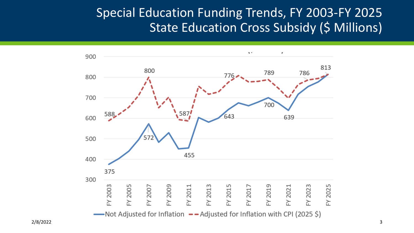### Special Education Funding Trends, FY 2003-FY 2025 State Education Cross Subsidy (\$ Millions)

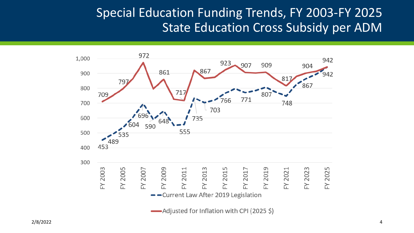### Special Education Funding Trends, FY 2003-FY 2025 State Education Cross Subsidy per ADM

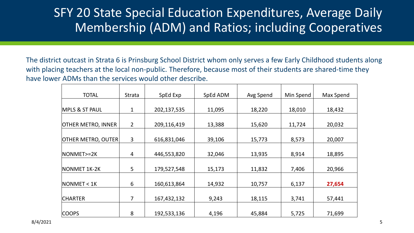## SFY 20 State Special Education Expenditures, Average Daily Membership (ADM) and Ratios; including Cooperatives

 The district outcast in Strata 6 is Prinsburg School District whom only serves a few Early Childhood students along with placing teachers at the local non-public. Therefore, because most of their students are shared-time they have lower ADMs than the services would other describe.

| <b>TOTAL</b>              | Strata         | SpEd Exp    | SpEd ADM | Avg Spend | Min Spend | Max Spend |
|---------------------------|----------------|-------------|----------|-----------|-----------|-----------|
|                           |                |             |          |           |           |           |
| <b>MPLS &amp; ST PAUL</b> | 1              | 202,137,535 | 11,095   | 18,220    | 18,010    | 18,432    |
|                           |                |             |          |           |           |           |
| <b>OTHER METRO, INNER</b> | $\overline{2}$ | 209,116,419 | 13,388   | 15,620    | 11,724    | 20,032    |
|                           |                |             |          |           |           |           |
| <b>OTHER METRO, OUTER</b> | 3              | 616,831,046 | 39,106   | 15,773    | 8,573     | 20,007    |
|                           |                |             |          |           |           |           |
| $NONMET>=2K$              | 4              | 446,553,820 | 32,046   | 13,935    | 8,914     | 18,895    |
|                           |                |             |          |           |           |           |
| NONMET 1K-2K              | 5              | 179,527,548 | 15,173   | 11,832    | 7,406     | 20,966    |
|                           |                |             |          |           |           |           |
| NOMMET < 1K               | 6              | 160,613,864 | 14,932   | 10,757    | 6,137     | 27,654    |
|                           |                |             |          |           |           |           |
| <b>CHARTER</b>            |                | 167,432,132 | 9,243    | 18,115    | 3,741     | 57,441    |
|                           |                |             |          |           |           |           |
| <b>COOPS</b>              | 8              | 192,533,136 | 4,196    | 45,884    | 5,725     | 71,699    |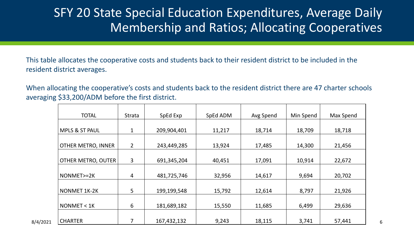## SFY 20 State Special Education Expenditures, Average Daily Membership and Ratios; Allocating Cooperatives

 This table allocates the cooperative costs and students back to their resident district to be included in the resident district averages.

 When allocating the cooperative's costs and students back to the resident district there are 47 charter schools averaging \$33,200/ADM before the first district.

| <b>TOTAL</b>               | Strata         | SpEd Exp    | SpEd ADM | Avg Spend | Min Spend | Max Spend |
|----------------------------|----------------|-------------|----------|-----------|-----------|-----------|
|                            |                |             |          |           |           |           |
| MPLS & ST PAUL             |                | 209,904,401 | 11,217   | 18,714    | 18,709    | 18,718    |
| OTHER METRO, INNER         | $\overline{2}$ | 243,449,285 | 13,924   | 17,485    | 14,300    | 21,456    |
| OTHER METRO, OUTER         | 3              | 691,345,204 | 40,451   | 17,091    | 10,914    | 22,672    |
| NONMET>=2K                 | 4              | 481,725,746 | 32,956   | 14,617    | 9,694     | 20,702    |
| NONMET 1K-2K               | 5 <sup>1</sup> | 199,199,548 | 15,792   | 12,614    | 8,797     | 21,926    |
| NOMMET < 1K                | 6              | 181,689,182 | 15,550   | 11,685    | 6,499     | 29,636    |
| <b>CHARTER</b><br>8/4/2021 | $\overline{7}$ | 167,432,132 | 9,243    | 18,115    | 3,741     | 57,441    |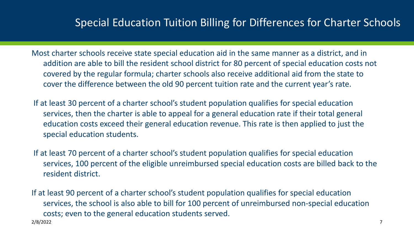#### Special Education Tuition Billing for Differences for Charter Schools

 Most charter schools receive state special education aid in the same manner as a district, and in addition are able to bill the resident school district for 80 percent of special education costs not covered by the regular formula; charter schools also receive additional aid from the state to cover the difference between the old 90 percent tuition rate and the current year's rate.

 If at least 30 percent of a charter school's student population qualifies for special education services, then the charter is able to appeal for a general education rate if their total general education costs exceed their general education revenue. This rate is then applied to just the special education students.

 If at least 70 percent of a charter school's student population qualifies for special education services, 100 percent of the eligible unreimbursed special education costs are billed back to the resident district.

 If at least 90 percent of a charter school's student population qualifies for special education services, the school is also able to bill for 100 percent of unreimbursed non-special education costs; even to the general education students served. 2/8/2022 7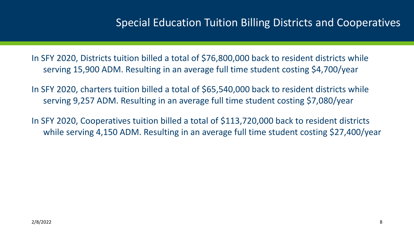#### Special Education Tuition Billing Districts and Cooperatives

 In SFY 2020, Districts tuition billed a total of \$76,800,000 back to resident districts while serving 15,900 ADM. Resulting in an average full time student costing \$4,700/year

 In SFY 2020, charters tuition billed a total of \$65,540,000 back to resident districts while serving 9,257 ADM. Resulting in an average full time student costing \$7,080/year

 In SFY 2020, Cooperatives tuition billed a total of \$113,720,000 back to resident districts while serving 4,150 ADM. Resulting in an average full time student costing \$27,400/year